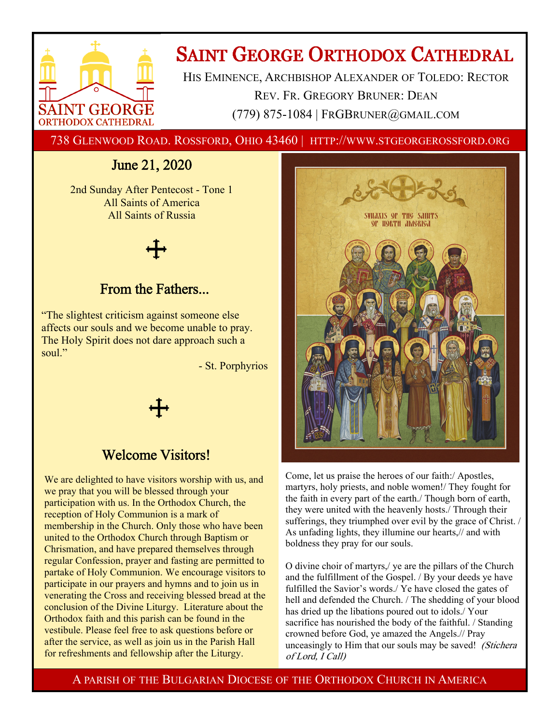

# **SAINT GEORGE ORTHODOX CATHEDRAL**

HIS EMINENCE, ARCHBISHOP ALEXANDER OF TOLEDO: RECTOR REV. FR. GREGORY BRUNER: DEAN (779) 875-1084 | FRGBRUNER@GMAIL.COM

738 GLENWOOD ROAD. ROSSFORD, OHIO 43460 | HTTP://WWW.STGEORGEROSSFORD.ORG

## June 21, 2020

2nd Sunday After Pentecost - Tone 1 All Saints of America All Saints of Russia

## From the Fathers...

"The slightest criticism against someone else affects our souls and we become unable to pray. The Holy Spirit does not dare approach such a soul."

- St. Porphyrios

## Welcome Visitors!

We are delighted to have visitors worship with us, and we pray that you will be blessed through your participation with us. In the Orthodox Church, the reception of Holy Communion is a mark of membership in the Church. Only those who have been united to the Orthodox Church through Baptism or Chrismation, and have prepared themselves through regular Confession, prayer and fasting are permitted to partake of Holy Communion. We encourage visitors to participate in our prayers and hymns and to join us in venerating the Cross and receiving blessed bread at the conclusion of the Divine Liturgy. Literature about the Orthodox faith and this parish can be found in the vestibule. Please feel free to ask questions before or after the service, as well as join us in the Parish Hall for refreshments and fellowship after the Liturgy.



Come, let us praise the heroes of our faith:/ Apostles, martyrs, holy priests, and noble women!/ They fought for the faith in every part of the earth./ Though born of earth, they were united with the heavenly hosts./ Through their sufferings, they triumphed over evil by the grace of Christ. / As unfading lights, they illumine our hearts,// and with boldness they pray for our souls.

O divine choir of martyrs,/ ye are the pillars of the Church and the fulfillment of the Gospel. / By your deeds ye have fulfilled the Savior's words./ Ye have closed the gates of hell and defended the Church. / The shedding of your blood has dried up the libations poured out to idols./ Your sacrifice has nourished the body of the faithful. / Standing crowned before God, ye amazed the Angels.// Pray unceasingly to Him that our souls may be saved! (Stichera of Lord, I Call)

A PARISH OF THE BULGARIAN DIOCESE OF THE ORTHODOX CHURCH IN AMERICA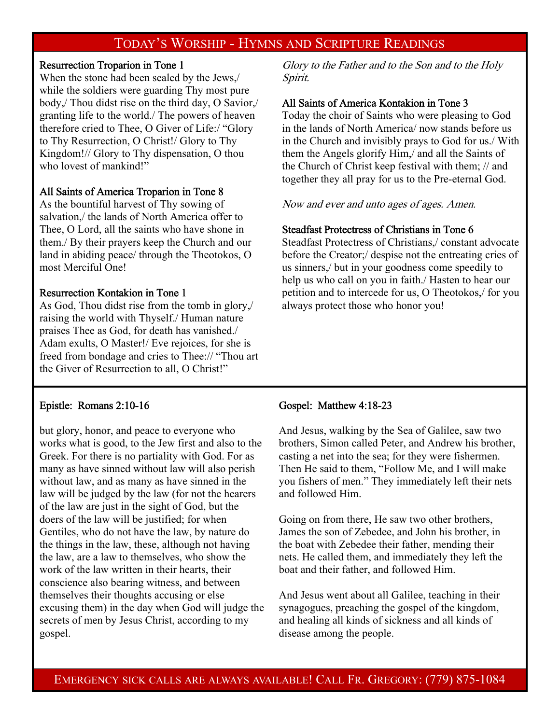## TODAY'S WORSHIP - HYMNS AND SCRIPTURE READINGS

## Resurrection Troparion in Tone 1

When the stone had been sealed by the Jews,/ while the soldiers were guarding Thy most pure body,/ Thou didst rise on the third day, O Savior,/ granting life to the world./ The powers of heaven therefore cried to Thee, O Giver of Life:/ "Glory to Thy Resurrection, O Christ!/ Glory to Thy Kingdom!// Glory to Thy dispensation, O thou who lovest of mankind!"

## All Saints of America Troparion in Tone 8

As the bountiful harvest of Thy sowing of salvation,/ the lands of North America offer to Thee, O Lord, all the saints who have shone in them./ By their prayers keep the Church and our land in abiding peace/ through the Theotokos, O most Merciful One!

## Resurrection Kontakion in Tone 1

As God, Thou didst rise from the tomb in glory,/ raising the world with Thyself./ Human nature praises Thee as God, for death has vanished./ Adam exults, O Master!/ Eve rejoices, for she is freed from bondage and cries to Thee:// "Thou art the Giver of Resurrection to all, O Christ!"

## Epistle: Romans 2:10-16

but glory, honor, and peace to everyone who works what is good, to the Jew first and also to the Greek. For there is no partiality with God. For as many as have sinned without law will also perish without law, and as many as have sinned in the law will be judged by the law (for not the hearers of the law are just in the sight of God, but the doers of the law will be justified; for when Gentiles, who do not have the law, by nature do the things in the law, these, although not having the law, are a law to themselves, who show the work of the law written in their hearts, their conscience also bearing witness, and between themselves their thoughts accusing or else excusing them) in the day when God will judge the secrets of men by Jesus Christ, according to my gospel.

Glory to the Father and to the Son and to the Holy Spirit.

#### All Saints of America Kontakion in Tone 3

Today the choir of Saints who were pleasing to God in the lands of North America/ now stands before us in the Church and invisibly prays to God for us./ With them the Angels glorify Him,/ and all the Saints of the Church of Christ keep festival with them; // and together they all pray for us to the Pre-eternal God.

Now and ever and unto ages of ages. Amen.

#### Steadfast Protectress of Christians in Tone 6

Steadfast Protectress of Christians,/ constant advocate before the Creator;/ despise not the entreating cries of us sinners,/ but in your goodness come speedily to help us who call on you in faith./ Hasten to hear our petition and to intercede for us, O Theotokos,/ for you always protect those who honor you!

#### Gospel: Matthew 4:18-23

And Jesus, walking by the Sea of Galilee, saw two brothers, Simon called Peter, and Andrew his brother, casting a net into the sea; for they were fishermen. Then He said to them, "Follow Me, and I will make you fishers of men." They immediately left their nets and followed Him.

Going on from there, He saw two other brothers, James the son of Zebedee, and John his brother, in the boat with Zebedee their father, mending their nets. He called them, and immediately they left the boat and their father, and followed Him.

And Jesus went about all Galilee, teaching in their synagogues, preaching the gospel of the kingdom, and healing all kinds of sickness and all kinds of disease among the people.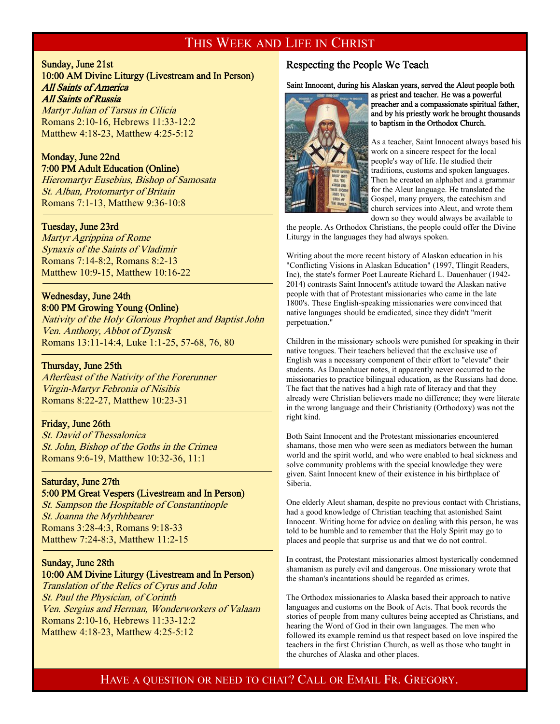## THIS WEEK AND LIFE IN CHRIST

#### Sunday, June 21st 10:00 AM Divine Liturgy (Livestream and In Person) All Saints of America All Saints of Russia

Martyr Julian of Tarsus in Cilicia Romans 2:10-16, Hebrews 11:33-12:2 Matthew 4:18-23, Matthew 4:25-5:12

#### Monday, June 22nd 7:00 PM Adult Education (Online)

Hieromartyr Eusebius, Bishop of Samosata St. Alban, Protomartyr of Britain Romans 7:1-13, Matthew 9:36-10:8

#### Tuesday, June 23rd

-

Martyr Agrippina of Rome Synaxis of the Saints of Vladimir Romans 7:14-8:2, Romans 8:2-13 Matthew 10:9-15, Matthew 10:16-22

## Wednesday, June 24th

8:00 PM Growing Young (Online) Nativity of the Holy Glorious Prophet and Baptist John Ven. Anthony, Abbot of Dymsk Romans 13:11-14:4, Luke 1:1-25, 57-68, 76, 80

#### Thursday, June 25th

 $\overline{a}$ 

-

Afterfeast of the Nativity of the Forerunner Virgin-Martyr Febronia of Nisibis Romans 8:22-27, Matthew 10:23-31

#### Friday, June 26th

St. David of Thessalonica St. John, Bishop of the Goths in the Crimea Romans 9:6-19, Matthew 10:32-36, 11:1

## Saturday, June 27th 5:00 PM Great Vespers (Livestream and In Person)

St. Sampson the Hospitable of Constantinople St. Joanna the Myrhhbearer Romans 3:28-4:3, Romans 9:18-33 Matthew 7:24-8:3, Matthew 11:2-15

## Sunday, June 28th

#### 10:00 AM Divine Liturgy (Livestream and In Person)

Translation of the Relics of Cyrus and John St. Paul the Physician, of Corinth Ven. Sergius and Herman, Wonderworkers of Valaam Romans 2:10-16, Hebrews 11:33-12:2 Matthew 4:18-23, Matthew 4:25-5:12

## Respecting the People We Teach

Saint Innocent, during his Alaskan years, served the Aleut people both



as priest and teacher. He was a powerful preacher and a compassionate spiritual father, and by his priestly work he brought thousands to baptism in the Orthodox Church.

As a teacher, Saint Innocent always based his work on a sincere respect for the local people's way of life. He studied their traditions, customs and spoken languages. Then he created an alphabet and a grammar for the Aleut language. He translated the Gospel, many prayers, the catechism and church services into Aleut, and wrote them down so they would always be available to

the people. As Orthodox Christians, the people could offer the Divine Liturgy in the languages they had always spoken.

Writing about the more recent history of Alaskan education in his "Conflicting Visions in Alaskan Education" (1997, Tlingit Readers, Inc), the state's former Poet Laureate Richard L. Dauenhauer (1942- 2014) contrasts Saint Innocent's attitude toward the Alaskan native people with that of Protestant missionaries who came in the late 1800's. These English-speaking missionaries were convinced that native languages should be eradicated, since they didn't "merit perpetuation."

Children in the missionary schools were punished for speaking in their native tongues. Their teachers believed that the exclusive use of English was a necessary component of their effort to "elevate" their students. As Dauenhauer notes, it apparently never occurred to the missionaries to practice bilingual education, as the Russians had done. The fact that the natives had a high rate of literacy and that they already were Christian believers made no difference; they were literate in the wrong language and their Christianity (Orthodoxy) was not the right kind.

Both Saint Innocent and the Protestant missionaries encountered shamans, those men who were seen as mediators between the human world and the spirit world, and who were enabled to heal sickness and solve community problems with the special knowledge they were given. Saint Innocent knew of their existence in his birthplace of Siberia.

One elderly Aleut shaman, despite no previous contact with Christians, had a good knowledge of Christian teaching that astonished Saint Innocent. Writing home for advice on dealing with this person, he was told to be humble and to remember that the Holy Spirit may go to places and people that surprise us and that we do not control.

In contrast, the Protestant missionaries almost hysterically condemned shamanism as purely evil and dangerous. One missionary wrote that the shaman's incantations should be regarded as crimes.

The Orthodox missionaries to Alaska based their approach to native languages and customs on the Book of Acts. That book records the stories of people from many cultures being accepted as Christians, and hearing the Word of God in their own languages. The men who followed its example remind us that respect based on love inspired the teachers in the first Christian Church, as well as those who taught in the churches of Alaska and other places.

## HAVE A QUESTION OR NEED TO CHAT? CALL OR EMAIL FR. GREGORY.